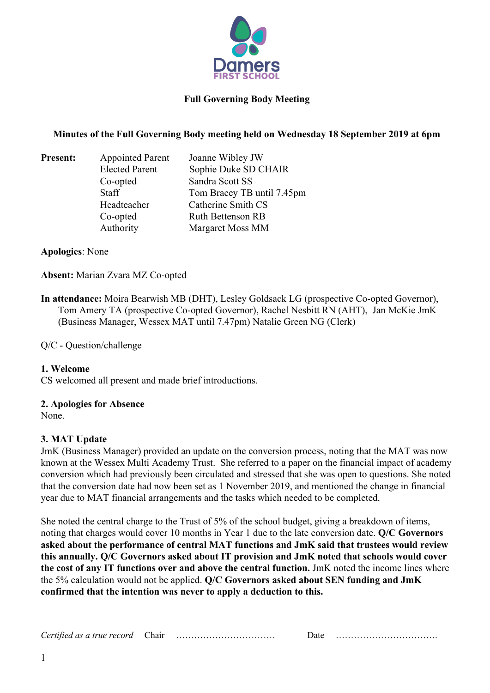

## **Minutes of the Full Governing Body meeting held on Wednesday 18 September 2019 at 6pm**

| <b>Present:</b> | <b>Appointed Parent</b> | Joanne Wibley JW           |
|-----------------|-------------------------|----------------------------|
|                 | <b>Elected Parent</b>   | Sophie Duke SD CHAIR       |
|                 | Co-opted                | Sandra Scott SS            |
|                 | <b>Staff</b>            | Tom Bracey TB until 7.45pm |
|                 | Headteacher             | Catherine Smith CS         |
|                 | Co-opted                | <b>Ruth Bettenson RB</b>   |
|                 | Authority               | Margaret Moss MM           |

**Apologies**: None

**Absent:** Marian Zvara MZ Co-opted

**In attendance:** Moira Bearwish MB (DHT), Lesley Goldsack LG (prospective Co-opted Governor), Tom Amery TA (prospective Co-opted Governor), Rachel Nesbitt RN (AHT), Jan McKie JmK (Business Manager, Wessex MAT until 7.47pm) Natalie Green NG (Clerk)

Q/C - Question/challenge

#### **1. Welcome**

CS welcomed all present and made brief introductions.

#### **2. Apologies for Absence**

None.

## **3. MAT Update**

JmK (Business Manager) provided an update on the conversion process, noting that the MAT was now known at the Wessex Multi Academy Trust. She referred to a paper on the financial impact of academy conversion which had previously been circulated and stressed that she was open to questions. She noted that the conversion date had now been set as 1 November 2019, and mentioned the change in financial year due to MAT financial arrangements and the tasks which needed to be completed.

She noted the central charge to the Trust of 5% of the school budget, giving a breakdown of items, noting that charges would cover 10 months in Year 1 due to the late conversion date. **Q/C Governors asked about the performance of central MAT functions and JmK said that trustees would review this annually. Q/C Governors asked about IT provision and JmK noted that schools would cover the cost of any IT functions over and above the central function.** JmK noted the income lines where the 5% calculation would not be applied. **Q/C Governors asked about SEN funding and JmK confirmed that the intention was never to apply a deduction to this.**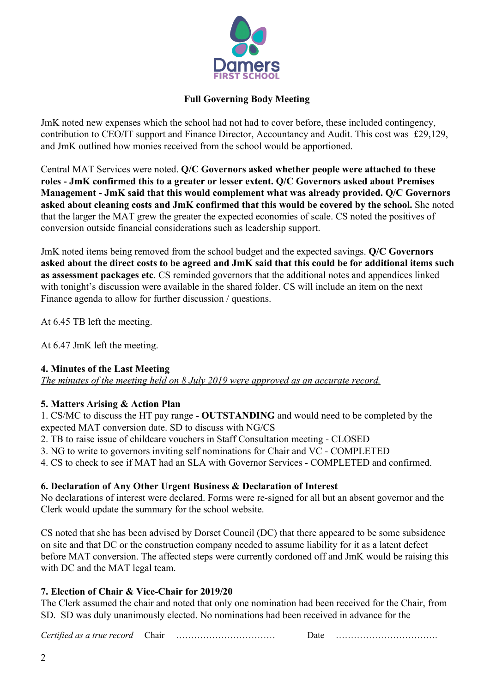

JmK noted new expenses which the school had not had to cover before, these included contingency, contribution to CEO/IT support and Finance Director, Accountancy and Audit. This cost was £29,129, and JmK outlined how monies received from the school would be apportioned.

Central MAT Services were noted. **Q/C Governors asked whether people were attached to these roles - JmK confirmed this to a greater or lesser extent. Q/C Governors asked about Premises Management - JmK said that this would complement what was already provided. Q/C Governors asked about cleaning costs and JmK confirmed that this would be covered by the school.** She noted that the larger the MAT grew the greater the expected economies of scale. CS noted the positives of conversion outside financial considerations such as leadership support.

JmK noted items being removed from the school budget and the expected savings. **Q/C Governors asked about the direct costs to be agreed and JmK said that this could be for additional items such as assessment packages etc**. CS reminded governors that the additional notes and appendices linked with tonight's discussion were available in the shared folder. CS will include an item on the next Finance agenda to allow for further discussion / questions.

At 6.45 TB left the meeting.

At 6.47 JmK left the meeting.

## **4. Minutes of the Last Meeting**

*The minutes of the meeting held on 8 July 2019 were approved as an accurate record.*

## **5. Matters Arising & Action Plan**

1. CS/MC to discuss the HT pay range **- OUTSTANDING** and would need to be completed by the expected MAT conversion date. SD to discuss with NG/CS

2. TB to raise issue of childcare vouchers in Staff Consultation meeting - CLOSED

3. NG to write to governors inviting self nominations for Chair and VC - COMPLETED

4. CS to check to see if MAT had an SLA with Governor Services - COMPLETED and confirmed.

## **6. Declaration of Any Other Urgent Business & Declaration of Interest**

No declarations of interest were declared. Forms were re-signed for all but an absent governor and the Clerk would update the summary for the school website.

CS noted that she has been advised by Dorset Council (DC) that there appeared to be some subsidence on site and that DC or the construction company needed to assume liability for it as a latent defect before MAT conversion. The affected steps were currently cordoned off and JmK would be raising this with DC and the MAT legal team.

## **7. Election of Chair & Vice-Chair for 2019/20**

The Clerk assumed the chair and noted that only one nomination had been received for the Chair, from SD. SD was duly unanimously elected. No nominations had been received in advance for the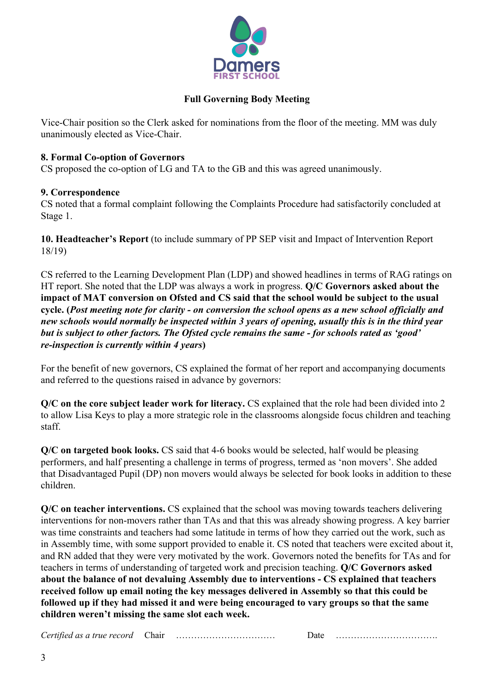

Vice-Chair position so the Clerk asked for nominations from the floor of the meeting. MM was duly unanimously elected as Vice-Chair.

## **8. Formal Co-option of Governors**

CS proposed the co-option of LG and TA to the GB and this was agreed unanimously.

## **9. Correspondence**

CS noted that a formal complaint following the Complaints Procedure had satisfactorily concluded at Stage 1.

**10. Headteacher's Report** (to include summary of PP SEP visit and Impact of Intervention Report 18/19)

CS referred to the Learning Development Plan (LDP) and showed headlines in terms of RAG ratings on HT report. She noted that the LDP was always a work in progress. **Q/C Governors asked about the impact of MAT conversion on Ofsted and CS said that the school would be subject to the usual cycle. (***Post meeting note for clarity - on conversion the school opens as a new school officially and new schools would normally be inspected within 3 years of opening, usually this is in the third year but is subject to other factors. The Ofsted cycle remains the same - for schools rated as 'good' re-inspection is currently within 4 years***)**

For the benefit of new governors, CS explained the format of her report and accompanying documents and referred to the questions raised in advance by governors:

**Q/C on the core subject leader work for literacy.** CS explained that the role had been divided into 2 to allow Lisa Keys to play a more strategic role in the classrooms alongside focus children and teaching staff.

**Q/C on targeted book looks.** CS said that 4-6 books would be selected, half would be pleasing performers, and half presenting a challenge in terms of progress, termed as 'non movers'. She added that Disadvantaged Pupil (DP) non movers would always be selected for book looks in addition to these children.

**Q/C on teacher interventions.** CS explained that the school was moving towards teachers delivering interventions for non-movers rather than TAs and that this was already showing progress. A key barrier was time constraints and teachers had some latitude in terms of how they carried out the work, such as in Assembly time, with some support provided to enable it. CS noted that teachers were excited about it, and RN added that they were very motivated by the work. Governors noted the benefits for TAs and for teachers in terms of understanding of targeted work and precision teaching. **Q/C Governors asked about the balance of not devaluing Assembly due to interventions - CS explained that teachers received follow up email noting the key messages delivered in Assembly so that this could be followed up if they had missed it and were being encouraged to vary groups so that the same children weren't missing the same slot each week.**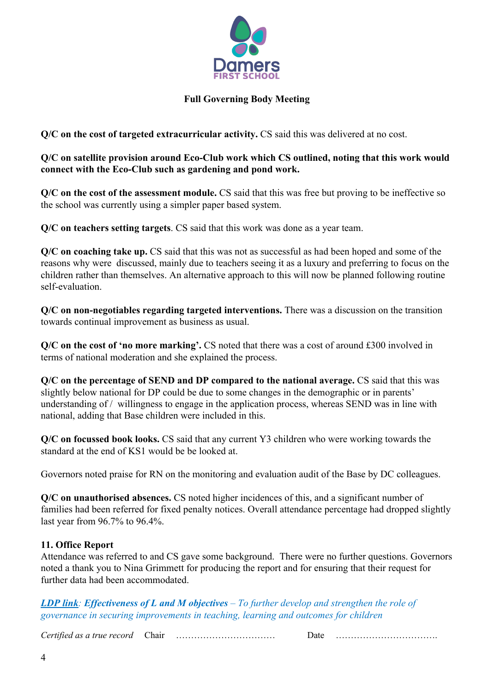

**Q/C** on the cost of targeted extracurricular activity. CS said this was delivered at no cost.

**Q/C on satellite provision around Eco-Club work which CS outlined, noting that this work would connect with the Eco-Club such as gardening and pond work.**

**Q/C on the cost of the assessment module.** CS said that this was free but proving to be ineffective so the school was currently using a simpler paper based system.

**Q/C on teachers setting targets**. CS said that this work was done as a year team.

**Q/C on coaching take up.** CS said that this was not as successful as had been hoped and some of the reasons why were discussed, mainly due to teachers seeing it as a luxury and preferring to focus on the children rather than themselves. An alternative approach to this will now be planned following routine self-evaluation.

**Q/C on non-negotiables regarding targeted interventions.** There was a discussion on the transition towards continual improvement as business as usual.

**Q/C on the cost of 'no more marking'.** CS noted that there was a cost of around £300 involved in terms of national moderation and she explained the process.

**Q/C on the percentage of SEND and DP compared to the national average.** CS said that this was slightly below national for DP could be due to some changes in the demographic or in parents' understanding of / willingness to engage in the application process, whereas SEND was in line with national, adding that Base children were included in this.

**Q/C on focussed book looks.** CS said that any current Y3 children who were working towards the standard at the end of KS1 would be be looked at.

Governors noted praise for RN on the monitoring and evaluation audit of the Base by DC colleagues.

**Q/C on unauthorised absences.** CS noted higher incidences of this, and a significant number of families had been referred for fixed penalty notices. Overall attendance percentage had dropped slightly last year from 96.7% to 96.4%.

## **11. Office Report**

Attendance was referred to and CS gave some background. There were no further questions. Governors noted a thank you to Nina Grimmett for producing the report and for ensuring that their request for further data had been accommodated.

*LDP link: Effectiveness of L and M objectives – To further develop and strengthen the role of governance in securing improvements in teaching, learning and outcomes for children*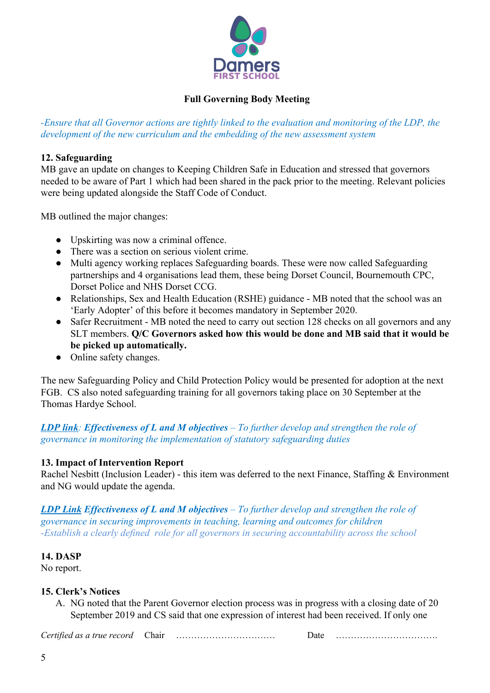

*-Ensure that all Governor actions are tightly linked to the evaluation and monitoring of the LDP, the development of the new curriculum and the embedding of the new assessment system*

## **12. Safeguarding**

MB gave an update on changes to Keeping Children Safe in Education and stressed that governors needed to be aware of Part 1 which had been shared in the pack prior to the meeting. Relevant policies were being updated alongside the Staff Code of Conduct.

MB outlined the major changes:

- Upskirting was now a criminal offence.
- There was a section on serious violent crime.
- Multi agency working replaces Safeguarding boards. These were now called Safeguarding partnerships and 4 organisations lead them, these being Dorset Council, Bournemouth CPC, Dorset Police and NHS Dorset CCG.
- Relationships, Sex and Health Education (RSHE) guidance MB noted that the school was an 'Early Adopter' of this before it becomes mandatory in September 2020.
- Safer Recruitment MB noted the need to carry out section 128 checks on all governors and any SLT members. **Q/C Governors asked how this would be done and MB said that it would be be picked up automatically.**
- Online safety changes.

The new Safeguarding Policy and Child Protection Policy would be presented for adoption at the next FGB. CS also noted safeguarding training for all governors taking place on 30 September at the Thomas Hardye School.

## *LDP link: Effectiveness of L and M objectives – To further develop and strengthen the role of governance in monitoring the implementation of statutory safeguarding duties*

## **13. Impact of Intervention Report**

Rachel Nesbitt (Inclusion Leader) - this item was deferred to the next Finance, Staffing & Environment and NG would update the agenda.

*LDP Link Effectiveness of L and M objectives – To further develop and strengthen the role of governance in securing improvements in teaching, learning and outcomes for children -Establish a clearly defined role for all governors in securing accountability across the school*

#### **14. DASP**

No report.

## **15. Clerk's Notices**

A. NG noted that the Parent Governor election process was in progress with a closing date of 20 September 2019 and CS said that one expression of interest had been received. If only one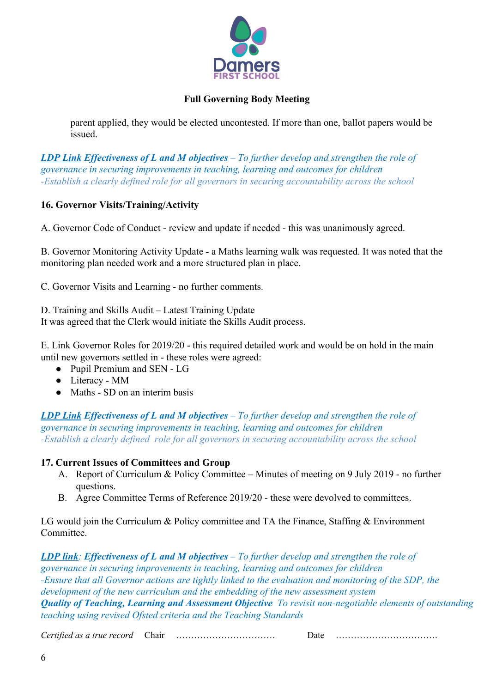

parent applied, they would be elected uncontested. If more than one, ballot papers would be issued.

*LDP Link Effectiveness of L and M objectives – To further develop and strengthen the role of governance in securing improvements in teaching, learning and outcomes for children -Establish a clearly defined role for all governors in securing accountability across the school*

## **16. Governor Visits/Training/Activity**

A. Governor Code of Conduct - review and update if needed - this was unanimously agreed.

B. Governor Monitoring Activity Update - a Maths learning walk was requested. It was noted that the monitoring plan needed work and a more structured plan in place.

C. Governor Visits and Learning - no further comments.

D. Training and Skills Audit – Latest Training Update

It was agreed that the Clerk would initiate the Skills Audit process.

E. Link Governor Roles for 2019/20 - this required detailed work and would be on hold in the main until new governors settled in - these roles were agreed:

- Pupil Premium and SEN LG
- Literacy MM
- Maths SD on an interim basis

*LDP Link Effectiveness of L and M objectives – To further develop and strengthen the role of governance in securing improvements in teaching, learning and outcomes for children -Establish a clearly defined role for all governors in securing accountability across the school*

## **17. Current Issues of Committees and Group**

- A. Report of Curriculum & Policy Committee Minutes of meeting on 9 July 2019 no further questions.
- B. Agree Committee Terms of Reference 2019/20 these were devolved to committees.

LG would join the Curriculum & Policy committee and TA the Finance, Staffing & Environment Committee.

*LDP link: Effectiveness of L and M objectives – To further develop and strengthen the role of governance in securing improvements in teaching, learning and outcomes for children -Ensure that all Governor actions are tightly linked to the evaluation and monitoring of the SDP, the development of the new curriculum and the embedding of the new assessment system Quality of Teaching, Learning and Assessment Objective To revisit non-negotiable elements of outstanding teaching using revised Ofsted criteria and the Teaching Standards*